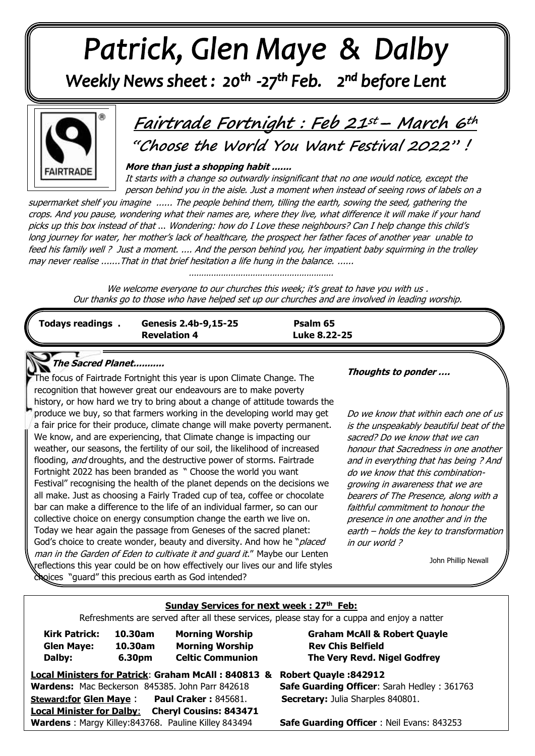# Patrick, Glen Maye & Dalby

Weekly News sheet: 20<sup>th</sup> -27<sup>th</sup> Feb. 2<sup>nd</sup> before Lent



## **Fairtrade Fortnight : Feb 21st– March 6th "Choose the World You Want Festival 2022" !**

 **More than just a shopping habit .......** 

It starts with a change so outwardly insignificant that no one would notice, except the person behind you in the aisle. Just a moment when instead of seeing rows of labels on a

 feed his family well ? Just a moment. .... And the person behind you, her impatient baby squirming in the trolley  may never realise .......That in that brief hesitation a life hung in the balance. ...... . . . /./ supermarket shelf you imagine ...... The people behind them, tilling the earth, sowing the seed, gathering the crops. And you pause, wondering what their names are, where they live, what difference it will make if your hand picks up this box instead of that ... Wondering: how do I Love these neighbours? Can I help change this child's long journey for water, her mother's lack of healthcare, the prospect her father faces of another year unable to

/. ...........................................................

We welcome everyone to our churches this week; it's great to have you with us. Our thanks go to those who have helped set up our churches and are involved in leading worship.

| <b>Todays readings</b> | Genesis 2.4b-9,15-25<br><b>Revelation 4</b> | Psalm 65<br>Luke 8.22-25 |  |
|------------------------|---------------------------------------------|--------------------------|--|
|                        |                                             |                          |  |

### **The Sacred Planet...........**

**The focus of Fairtrade Fortnight this year is upon Climate Change. The recognition that however great our endomourned in make poverty**  history, or how hard we try to bring about a change of attitude towards the  recognition that however great our endeavours are to make poverty  produce we buy, so that farmers working in the developing world may get  weather, our seasons, the fertility of our soil, the likelihood of increased flooding, *and* droughts, and the destructive power of storms. Fairtrade a fair price for their produce, climate change will make poverty permanent. We know, and are experiencing, that Climate change is impacting our Fortnight 2022 has been branded as " Choose the world you want Festival" recognising the health of the planet depends on the decisions we all make. Just as choosing a Fairly Traded cup of tea, coffee or chocolate bar can make a difference to the life of an individual farmer, so can our collective choice on energy consumption change the earth we live on. Today we hear again the passage from Geneses of the sacred planet: God's choice to create wonder, beauty and diversity. And how he "*placed* man in the Garden of Eden to cultivate it and quard it." Maybe our Lenten reflections this year could be on how effectively our lives our and life styles choices "guard" this precious earth as God intended?

**Thoughts to ponder ….**

Do we know that within each one of us is the unspeakably beautiful beat of the sacred? Do we know that we can honour that Sacredness in one another and in everything that has being ? And do we know that this combinationgrowing in awareness that we are bearers of The Presence, along with a faithful commitment to honour the presence in one another and in the earth – holds the key to transformation in our world ?

John Phillip Newall

#### **Sunday Services for next week : 27th Feb:**

Refreshments are served after all these services, please stay for a cuppa and enjoy a natter

| <b>Kirk Patrick:</b> | 10.30am | <b>Morning Worship</b>  |
|----------------------|---------|-------------------------|
| <b>Glen Maye:</b>    | 10.30am | <b>Morning Worship</b>  |
| Dalby:               | 6.30pm  | <b>Celtic Communion</b> |

**Graham McAll & Robert Quayle 10.30am Morning Worship Rev Chis Belfield The Very Revd. Nigel Godfrey** 

**Local Ministers for Patrick**: **Graham McAll : 840813 & Robert Quayle :842912 Wardens:** Mac Beckerson 845385. John Parr 842618 **Safe Guarding Officer**: Sarah Hedley : 361763 **Steward:for Glen Maye** : **Paul Craker :** 845681. **Secretary:** Julia Sharples 840801. **Local Minister for Dalby**: **Cheryl Cousins: 843471 Wardens** : Margy Killey:843768. Pauline Killey 843494 **Safe Guarding Officer** : Neil Evans: 843253